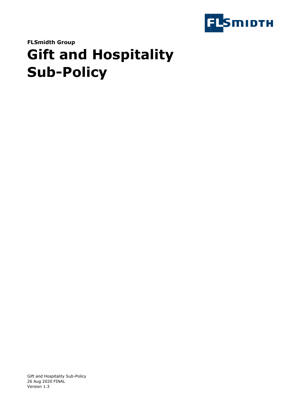

**FLSmidth Group**

# **Gift and Hospitality Sub-Policy**

Gift and Hospitality Sub-Policy 26 Aug 2020 FINAL Version 1.3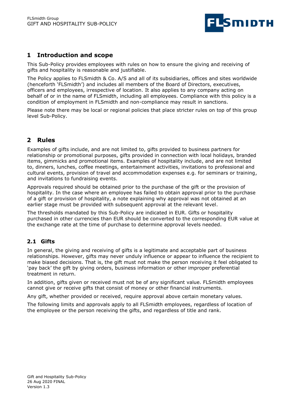

# **1 Introduction and scope**

This Sub-Policy provides employees with rules on how to ensure the giving and receiving of gifts and hospitality is reasonable and justifiable.

The Policy applies to FLSmidth & Co. A/S and all of its subsidiaries, offices and sites worldwide (henceforth 'FLSmidth') and includes all members of the Board of Directors, executives, officers and employees, irrespective of location. It also applies to any company acting on behalf of or in the name of FLSmidth, including all employees. Compliance with this policy is a condition of employment in FLSmidth and non-compliance may result in sanctions.

Please note there may be local or regional policies that place stricter rules on top of this group level Sub-Policy.

# **2 Rules**

Examples of gifts include, and are not limited to, gifts provided to business partners for relationship or promotional purposes, gifts provided in connection with local holidays, branded items, gimmicks and promotional items. Examples of hospitality include, and are not limited to, dinners, lunches, coffee meetings, entertainment activities, invitations to professional and cultural events, provision of travel and accommodation expenses e.g. for seminars or training, and invitations to fundraising events.

Approvals required should be obtained prior to the purchase of the gift or the provision of hospitality. In the case where an employee has failed to obtain approval prior to the purchase of a gift or provision of hospitality, a note explaining why approval was not obtained at an earlier stage must be provided with subsequent approval at the relevant level.

The thresholds mandated by this Sub-Policy are indicated in EUR. Gifts or hospitality purchased in other currencies than EUR should be converted to the corresponding EUR value at the exchange rate at the time of purchase to determine approval levels needed.

#### **2.1 Gifts**

In general, the giving and receiving of gifts is a legitimate and acceptable part of business relationships. However, gifts may never unduly influence or appear to influence the recipient to make biased decisions. That is, the gift must not make the person receiving it feel obligated to 'pay back' the gift by giving orders, business information or other improper preferential treatment in return.

In addition, gifts given or received must not be of any significant value. FLSmidth employees cannot give or receive gifts that consist of money or other financial instruments.

Any gift, whether provided or received, require approval above certain monetary values.

The following limits and approvals apply to all FLSmidth employees, regardless of location of the employee or the person receiving the gifts, and regardless of title and rank.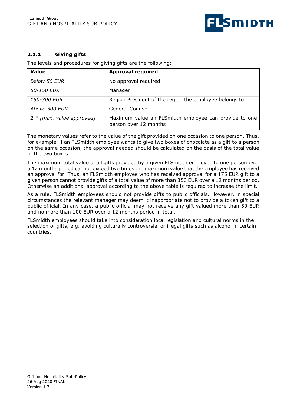

#### **2.1.1 Giving gifts**

The levels and procedures for giving gifts are the following:

| <b>Value</b>                       | <b>Approval required</b>                                                       |
|------------------------------------|--------------------------------------------------------------------------------|
| Below 50 EUR                       | No approval required                                                           |
| 50-150 EUR                         | Manager                                                                        |
| <i>150-300 EUR</i>                 | Region President of the region the employee belongs to                         |
| Above 300 EUR                      | General Counsel                                                                |
| $2 * \lceil max$ . value approved] | Maximum value an FLSmidth employee can provide to one<br>person over 12 months |

The monetary values refer to the value of the gift provided on one occasion to one person. Thus, for example, if an FLSmidth employee wants to give two boxes of chocolate as a gift to a person on the same occasion, the approval needed should be calculated on the basis of the total value of the two boxes.

The maximum total value of all gifts provided by a given FLSmidth employee to one person over a 12 months period cannot exceed two times the maximum value that the employee has received an approval for. Thus, an FLSmidth employee who has received approval for a 175 EUR gift to a given person cannot provide gifts of a total value of more than 350 EUR over a 12 months period. Otherwise an additional approval according to the above table is required to increase the limit.

As a rule, FLSmidth employees should not provide gifts to public officials. However, in special circumstances the relevant manager may deem it inappropriate not to provide a token gift to a public official. In any case, a public official may not receive any gift valued more than 50 EUR and no more than 100 EUR over a 12 months period in total.

FLSmidth employees should take into consideration local legislation and cultural norms in the selection of gifts, e.g. avoiding culturally controversial or illegal gifts such as alcohol in certain countries.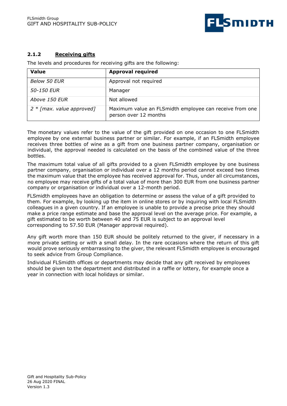

#### **2.1.2 Receiving gifts**

The levels and procedures for receiving gifts are the following:

| <b>Value</b>                       | <b>Approval required</b>                                                         |
|------------------------------------|----------------------------------------------------------------------------------|
| Below 50 EUR                       | Approval not required                                                            |
| 50-150 EUR                         | Manager                                                                          |
| Above 150 EUR                      | Not allowed                                                                      |
| $2 * \text{[max. value approach]}$ | Maximum value an FLSmidth employee can receive from one<br>person over 12 months |

The monetary values refer to the value of the gift provided on one occasion to one FLSmidth employee by one external business partner or similar. For example, if an FLSmidth employee receives three bottles of wine as a gift from one business partner company, organisation or individual, the approval needed is calculated on the basis of the combined value of the three bottles.

The maximum total value of all gifts provided to a given FLSmidth employee by one business partner company, organisation or individual over a 12 months period cannot exceed two times the maximum value that the employee has received approval for. Thus, under all circumstances, no employee may receive gifts of a total value of more than 300 EUR from one business partner company or organisation or individual over a 12-month period.

FLSmidth employees have an obligation to determine or assess the value of a gift provided to them. For example, by looking up the item in online stores or by inquiring with local FLSmidth colleagues in a given country. If an employee is unable to provide a precise price they should make a price range estimate and base the approval level on the average price. For example, a gift estimated to be worth between 40 and 75 EUR is subject to an approval level corresponding to 57.50 EUR (Manager approval required).

Any gift worth more than 150 EUR should be politely returned to the giver, if necessary in a more private setting or with a small delay. In the rare occasions where the return of this gift would prove seriously embarrassing to the giver, the relevant FLSmidth employee is encouraged to seek advice from Group Compliance.

Individual FLSmidth offices or departments may decide that any gift received by employees should be given to the department and distributed in a raffle or lottery, for example once a year in connection with local holidays or similar.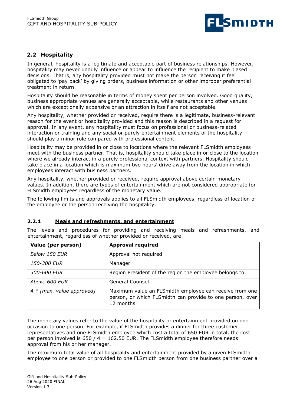

### **2.2 Hospitality**

In general, hospitality is a legitimate and acceptable part of business relationships. However, hospitality may never unduly influence or appear to influence the recipient to make biased decisions. That is, any hospitality provided must not make the person receiving it feel obligated to 'pay back' by giving orders, business information or other improper preferential treatment in return.

Hospitality should be reasonable in terms of money spent per person involved. Good quality, business appropriate venues are generally acceptable, while restaurants and other venues which are exceptionally expensive or an attraction in itself are not acceptable.

Any hospitality, whether provided or received, require there is a legitimate, business-relevant reason for the event or hospitality provided and this reason is described in a request for approval. In any event, any hospitality must focus on professional or business-related interaction or training and any social or purely entertainment elements of the hospitality should play a minor role compared with professional content.

Hospitality may be provided in or close to locations where the relevant FLSmidth employees meet with the business partner. That is, hospitality should take place in or close to the location where we already interact in a purely professional context with partners. Hospitality should take place in a location which is maximum two hours' drive away from the location in which employees interact with business partners.

Any hospitality, whether provided or received, require approval above certain monetary values. In addition, there are types of entertainment which are not considered appropriate for FLSmidth employees regardless of the monetary value.

The following limits and approvals applies to all FLSmidth employees, regardless of location of the employee or the person receiving the hospitality.

#### **2.2.1 Meals and refreshments, and entertainment**

The levels and procedures for providing and receiving meals and refreshments, and entertainment, regardless of whether provided or received, are:

| Value (per person)                | <b>Approval required</b>                                                                                                          |
|-----------------------------------|-----------------------------------------------------------------------------------------------------------------------------------|
| Below 150 EUR                     | Approval not required                                                                                                             |
| <i>150-300 EUR</i>                | Manager                                                                                                                           |
| 300-600 EUR                       | Region President of the region the employee belongs to                                                                            |
| Above 600 EUR                     | General Counsel                                                                                                                   |
| $4 * \lceil max.$ value approved] | Maximum value an FLSmidth employee can receive from one<br>person, or which FLSmidth can provide to one person, over<br>12 months |

The monetary values refer to the value of the hospitality or entertainment provided on one occasion to one person. For example, if FLSmidth provides a dinner for three customer representatives and one FLSmidth employee which cost a total of 650 EUR in total, the cost per person involved is  $650 / 4 = 162.50$  EUR. The FLSmidth employee therefore needs approval from his or her manager.

The maximum total value of all hospitality and entertainment provided by a given FLSmidth employee to one person or provided to one FLSmidth person from one business partner over a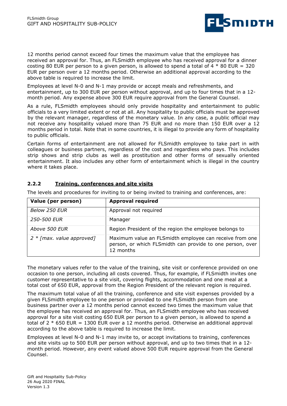

12 months period cannot exceed four times the maximum value that the employee has received an approval for. Thus, an FLSmidth employee who has received approval for a dinner costing 80 EUR per person to a given person, is allowed to spend a total of 4  $*$  80 EUR = 320 EUR per person over a 12 months period. Otherwise an additional approval according to the above table is required to increase the limit.

Employees at level N-0 and N-1 may provide or accept meals and refreshments, and entertainment, up to 300 EUR per person without approval, and up to four times that in a 12 month period. Any expense above 300 EUR require approval from the General Counsel.

As a rule, FLSmidth employees should only provide hospitality and entertainment to public officials to a very limited extent or not at all. Any hospitality to public officials must be approved by the relevant manager, regardless of the monetary value. In any case, a public official may not receive any hospitality valued more than 75 EUR and no more than 150 EUR over a 12 months period in total. Note that in some countries, it is illegal to provide any form of hospitality to public officials.

Certain forms of entertainment are not allowed for FLSmidth employee to take part in with colleagues or business partners, regardless of the cost and regardless who pays. This includes strip shows and strip clubs as well as prostitution and other forms of sexually oriented entertainment. It also includes any other form of entertainment which is illegal in the country where it takes place.

| Value (per person)                 | <b>Approval required</b>                                                                                                          |
|------------------------------------|-----------------------------------------------------------------------------------------------------------------------------------|
| Below 250 EUR                      | Approval not required                                                                                                             |
| <i>250-500 EUR</i>                 | Manager                                                                                                                           |
| Above 500 EUR                      | Region President of the region the employee belongs to                                                                            |
| $2 * \text{[max. value approach]}$ | Maximum value an FLSmidth employee can receive from one<br>person, or which FLSmidth can provide to one person, over<br>12 months |

#### **2.2.2 Training, conferences and site visits**

The levels and procedures for inviting to or being invited to training and conferences, are:

The monetary values refer to the value of the training, site visit or conference provided on one occasion to one person, including all costs covered. Thus, for example, if FLSmidth invites one customer representative to a site visit, covering flights, accommodation and one meal at a total cost of 650 EUR, approval from the Region President of the relevant region is required.

The maximum total value of all the training, conference and site visit expenses provided by a given FLSmidth employee to one person or provided to one FLSmidth person from one business partner over a 12 months period cannot exceed two times the maximum value that the employee has received an approval for. Thus, an FLSmidth employee who has received approval for a site visit costing 650 EUR per person to a given person, is allowed to spend a total of  $2 * 650$  EUR = 1300 EUR over a 12 months period. Otherwise an additional approval according to the above table is required to increase the limit.

Employees at level N-0 and N-1 may invite to, or accept invitations to training, conferences and site visits up to 500 EUR per person without approval, and up to two times that in a 12 month period. However, any event valued above 500 EUR require approval from the General Counsel.